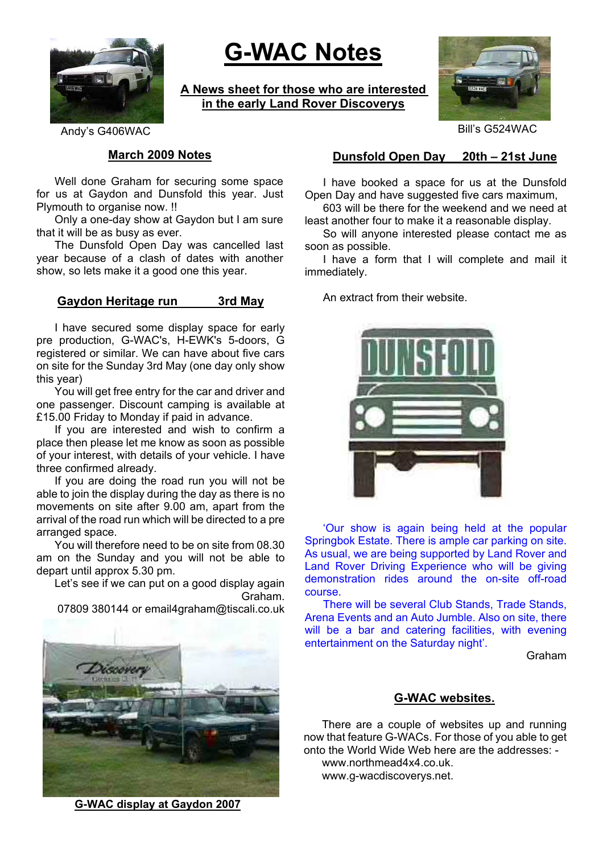

# **G-WAC Notes**

**A News sheet for those who are interested in the early Land Rover Discoverys**



#### **March 2009 Notes**

Well done Graham for securing some space for us at Gaydon and Dunsfold this year. Just Plymouth to organise now. !!

Only a one-day show at Gaydon but I am sure that it will be as busy as ever.

The Dunsfold Open Day was cancelled last year because of a clash of dates with another show, so lets make it a good one this year.

#### **Gaydon Heritage run 3rd May**

I have secured some display space for early pre production, G-WAC's, H-EWK's 5-doors, G registered or similar. We can have about five cars on site for the Sunday 3rd May (one day only show this year)

You will get free entry for the car and driver and one passenger. Discount camping is available at £15.00 Friday to Monday if paid in advance.

If you are interested and wish to confirm a place then please let me know as soon as possible of your interest, with details of your vehicle. I have three confirmed already.

If you are doing the road run you will not be able to join the display during the day as there is no movements on site after 9.00 am, apart from the arrival of the road run which will be directed to a pre arranged space.

You will therefore need to be on site from 08.30 am on the Sunday and you will not be able to depart until approx 5.30 pm.

Let's see if we can put on a good display again Graham.

07809 380144 or email4graham@tiscali.co.uk



**G-WAC display at Gaydon 2007**

### **Dunsfold Open Day 20th – 21st June**

I have booked a space for us at the Dunsfold Open Day and have suggested five cars maximum,

603 will be there for the weekend and we need at least another four to make it a reasonable display.

So will anyone interested please contact me as soon as possible.

I have a form that I will complete and mail it immediately.

An extract from their website.



'Our show is again being held at the popular Springbok Estate. There is ample car parking on site. As usual, we are being supported by Land Rover and Land Rover Driving Experience who will be giving demonstration rides around the on-site off-road course.

There will be several Club Stands, Trade Stands, Arena Events and an Auto Jumble. Also on site, there will be a bar and catering facilities, with evening entertainment on the Saturday night'.

Graham

#### **G-WAC websites.**

There are a couple of websites up and running now that feature G-WACs. For those of you able to get onto the World Wide Web here are the addresses: -

www.northmead4x4.co.uk. www.g-wacdiscoverys.net.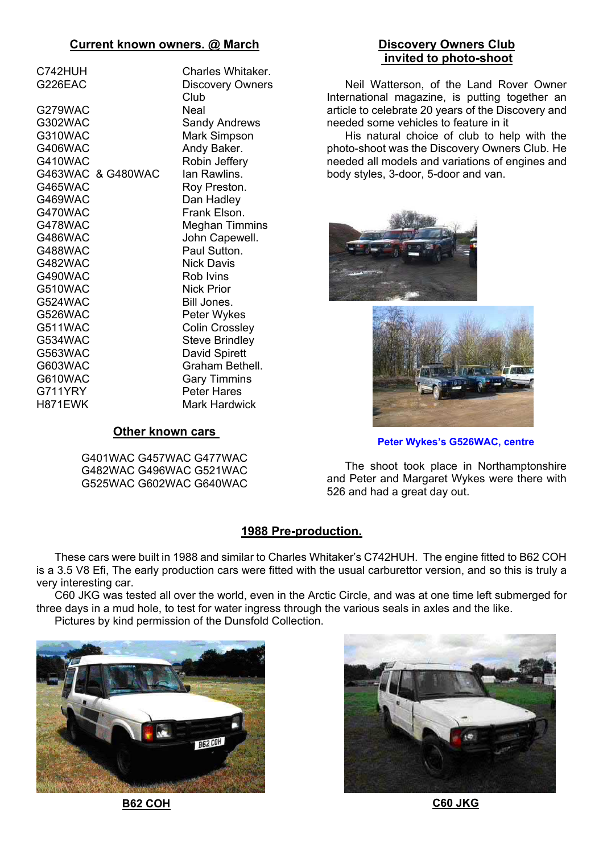## **Current known owners. @ March**

| C742HUH<br>G226EAC |                   | Charles Whitaker.<br><b>Discovery Owners</b><br>Club |
|--------------------|-------------------|------------------------------------------------------|
| G279WAC            |                   | Neal                                                 |
| G302WAC            |                   | Sandy Andrews                                        |
| G310WAC            |                   | <b>Mark Simpson</b>                                  |
| <b>G406WAC</b>     |                   | Andy Baker.                                          |
| G410WAC            |                   | Robin Jeffery                                        |
|                    | G463WAC & G480WAC | lan Rawlins.                                         |
| G465WAC            |                   | Roy Preston.                                         |
| G469WAC            |                   | Dan Hadley                                           |
| G470WAC            |                   | Frank Elson.                                         |
| G478WAC            |                   | <b>Meghan Timmins</b>                                |
| <b>G486WAC</b>     |                   | John Capewell.                                       |
| <b>G488WAC</b>     |                   | Paul Sutton.                                         |
| G482WAC            |                   | <b>Nick Davis</b>                                    |
| G490WAC            |                   | Rob Ivins                                            |
| G510WAC            |                   | <b>Nick Prior</b>                                    |
| G524WAC            |                   | Bill Jones.                                          |
| G526WAC            |                   | Peter Wykes                                          |
| G511WAC            |                   | <b>Colin Crossley</b>                                |
| G534WAC            |                   | <b>Steve Brindley</b>                                |
| G563WAC            |                   | David Spirett                                        |
| G603WAC            |                   | Graham Bethell.                                      |
| G610WAC            |                   | <b>Gary Timmins</b>                                  |
| G711YRY            |                   | <b>Peter Hares</b>                                   |
| H871EWK            |                   | Mark Hardwick                                        |

## **Other known cars**

G401WAC G457WAC G477WAC G482WAC G496WAC G521WAC G525WAC G602WAC G640WAC

## **Discovery Owners Club invited to photo-shoot**

Neil Watterson, of the Land Rover Owner International magazine, is putting together an article to celebrate 20 years of the Discovery and needed some vehicles to feature in it

His natural choice of club to help with the photo-shoot was the Discovery Owners Club. He needed all models and variations of engines and body styles, 3-door, 5-door and van.





**Peter Wykes's G526WAC, centre**

The shoot took place in Northamptonshire and Peter and Margaret Wykes were there with 526 and had a great day out.

# **1988 Pre-production.**

These cars were built in 1988 and similar to Charles Whitaker's C742HUH. The engine fitted to B62 COH is a 3.5 V8 Efi, The early production cars were fitted with the usual carburettor version, and so this is truly a very interesting car.

C60 JKG was tested all over the world, even in the Arctic Circle, and was at one time left submerged for three days in a mud hole, to test for water ingress through the various seals in axles and the like.

Pictures by kind permission of the Dunsfold Collection.





**B62 COH C60 JKG**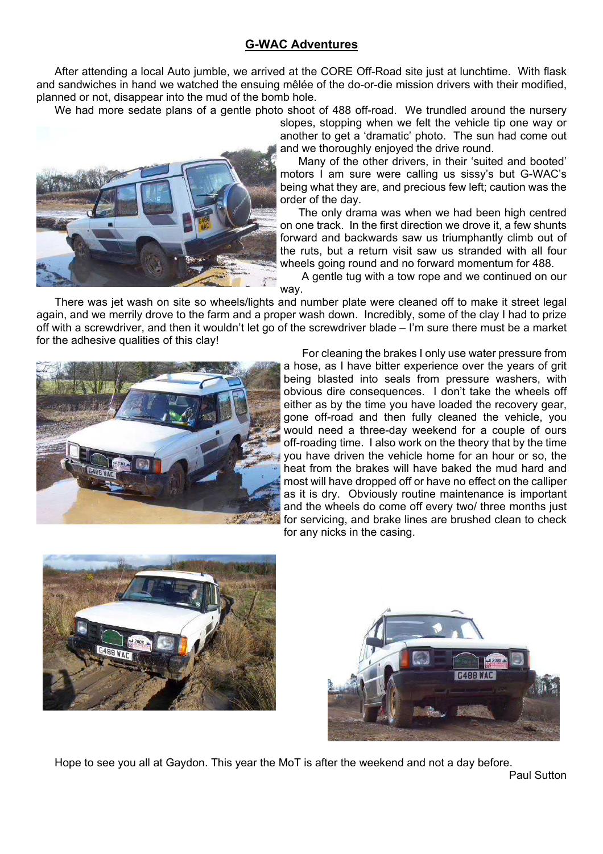## **G-WAC Adventures**

After attending a local Auto jumble, we arrived at the CORE Off-Road site just at lunchtime. With flask and sandwiches in hand we watched the ensuing mêlée of the do-or-die mission drivers with their modified, planned or not, disappear into the mud of the bomb hole.

We had more sedate plans of a gentle photo shoot of 488 off-road. We trundled around the nursery



slopes, stopping when we felt the vehicle tip one way or another to get a 'dramatic' photo. The sun had come out and we thoroughly enjoyed the drive round.

Many of the other drivers, in their 'suited and booted' motors I am sure were calling us sissy's but G-WAC's being what they are, and precious few left; caution was the order of the day.

The only drama was when we had been high centred on one track. In the first direction we drove it, a few shunts forward and backwards saw us triumphantly climb out of the ruts, but a return visit saw us stranded with all four wheels going round and no forward momentum for 488.

A gentle tug with a tow rope and we continued on our way.

There was jet wash on site so wheels/lights and number plate were cleaned off to make it street legal again, and we merrily drove to the farm and a proper wash down. Incredibly, some of the clay I had to prize off with a screwdriver, and then it wouldn't let go of the screwdriver blade – I'm sure there must be a market for the adhesive qualities of this clay!



For cleaning the brakes I only use water pressure from a hose, as I have bitter experience over the years of grit being blasted into seals from pressure washers, with obvious dire consequences. I don't take the wheels off either as by the time you have loaded the recovery gear, gone off-road and then fully cleaned the vehicle, you would need a three-day weekend for a couple of ours off-roading time. I also work on the theory that by the time you have driven the vehicle home for an hour or so, the heat from the brakes will have baked the mud hard and most will have dropped off or have no effect on the calliper as it is dry. Obviously routine maintenance is important and the wheels do come off every two/ three months just for servicing, and brake lines are brushed clean to check for any nicks in the casing.





Hope to see you all at Gaydon. This year the MoT is after the weekend and not a day before. Paul Sutton